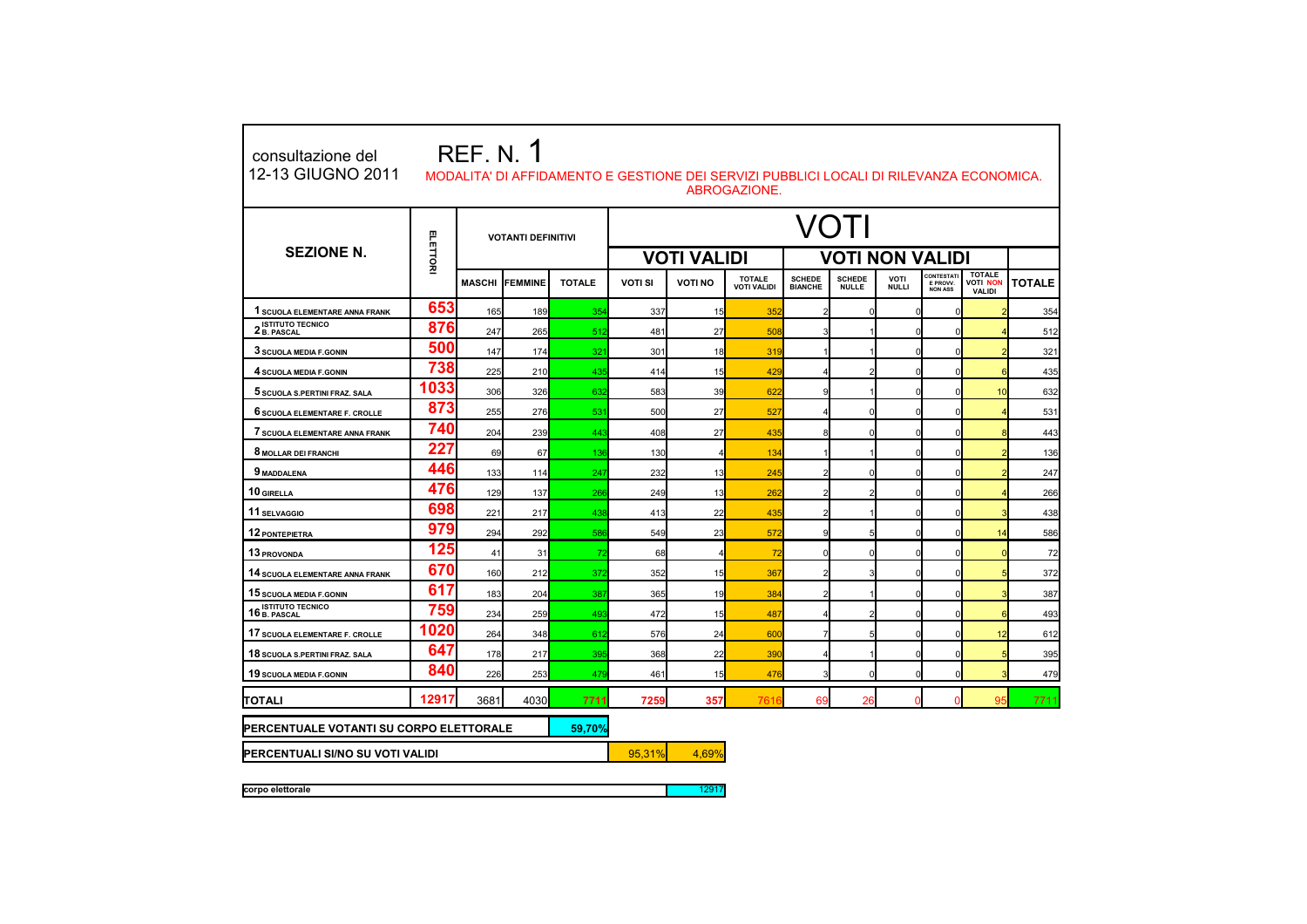| <b>REF. N. 1</b><br>consultazione del<br>12-13 GIUGNO 2011<br>MODALITA' DI AFFIDAMENTO E GESTIONE DEI SERVIZI PUBBLICI LOCALI DI RILEVANZA ECONOMICA.<br>ABROGAZIONE. |                                  |               |                           |               |                |                    |                                     |                                 |                               |                      |                                                 |                                                   |               |  |  |
|-----------------------------------------------------------------------------------------------------------------------------------------------------------------------|----------------------------------|---------------|---------------------------|---------------|----------------|--------------------|-------------------------------------|---------------------------------|-------------------------------|----------------------|-------------------------------------------------|---------------------------------------------------|---------------|--|--|
| <b>SEZIONE N.</b>                                                                                                                                                     |                                  |               | <b>VOTANTI DEFINITIVI</b> |               | VOTI           |                    |                                     |                                 |                               |                      |                                                 |                                                   |               |  |  |
|                                                                                                                                                                       | ELETTOR                          |               |                           |               |                | <b>VOTI VALIDI</b> |                                     | <b>VOTI NON VALIDI</b>          |                               |                      |                                                 |                                                   |               |  |  |
|                                                                                                                                                                       |                                  | <b>MASCHI</b> | IFEMMINE                  | <b>TOTALE</b> | <b>VOTI SI</b> | <b>VOTI NO</b>     | <b>TOTALE</b><br><b>VOTI VALIDI</b> | <b>SCHEDE</b><br><b>BIANCHE</b> | <b>SCHEDE</b><br><b>NULLE</b> | VOTI<br><b>NULLI</b> | <b>CONTESTATI</b><br>E PROVV.<br><b>NON ASS</b> | <b>TOTALE</b><br><b>VOTI NON</b><br><b>VALIDI</b> | <b>TOTALE</b> |  |  |
| <b>1 SCUOLA ELEMENTARE ANNA FRANK</b>                                                                                                                                 | 653                              | 165           | 189                       | 354           | 337            | 15                 | 35                                  | 2                               | $\mathbf 0$                   |                      | O                                               |                                                   | 354           |  |  |
| <b>ISTITUTO TECNICO</b><br>2 B. PASCAL                                                                                                                                | 876                              | 247           | 265                       | 512           | 481            | 27                 | 508                                 |                                 |                               |                      |                                                 |                                                   | 512           |  |  |
| 3 SCUOLA MEDIA F.GONIN                                                                                                                                                | 500                              | 147           | 174                       | 321           | 301            | 18                 | 319                                 |                                 |                               | $\mathcal{C}$        | $\Omega$                                        |                                                   | 321           |  |  |
| 4 SCUOLA MEDIA F.GONIN                                                                                                                                                | 738                              | 225           | 210                       | 435           | 414            | 15                 | 429                                 | 4                               | 2                             | $\Omega$             | $\mathbf 0$                                     | 6                                                 | 435           |  |  |
| 5 SCUOLA S.PERTINI FRAZ. SALA                                                                                                                                         | 1033                             | 306           | 326                       | 632           | 583            | 39                 | 622                                 | g                               |                               | C                    | $\Omega$                                        | 10 <sup>1</sup>                                   | 632           |  |  |
| 6 SCUOLA ELEMENTARE F. CROLLE                                                                                                                                         | 873                              | 255           | 276                       | 531           | 500            | 27                 | 527                                 |                                 | $\mathbf 0$                   | $\Omega$             | $\Omega$                                        |                                                   | 531           |  |  |
| 7 SCUOLA ELEMENTARE ANNA FRANK                                                                                                                                        | 740                              | 204           | 239                       | 443           | 408            | 27                 | 435                                 | 8                               | $\mathbf 0$                   | $\sqrt{2}$           | $\mathbf 0$                                     | 8                                                 | 443           |  |  |
| 8 MOLLAR DEI FRANCHI                                                                                                                                                  | 227                              | 69            | 67                        | 136           | 130            | $\overline{4}$     | 134                                 | 1                               |                               | C                    | $\Omega$                                        |                                                   | 136           |  |  |
| 9 MADDALENA                                                                                                                                                           | 446                              | 133           | 114                       | 247           | 232            | 13                 | 245                                 | $\overline{2}$                  | $\mathbf 0$                   | $\sqrt{2}$           | $\Omega$                                        |                                                   | 247           |  |  |
| 10 GIRELLA                                                                                                                                                            | 476                              | 129           | 137                       | 266           | 249            | 13                 | 262                                 | $\mathfrak{p}$                  | 2                             | O                    | $\mathbf 0$                                     |                                                   | 266           |  |  |
| 11 SELVAGGIO                                                                                                                                                          | 698                              | 221           | 217                       | 438           | 413            | 22                 | 435                                 | 2                               |                               | C                    | $\Omega$                                        |                                                   | 438           |  |  |
| 12 PONTEPIETRA                                                                                                                                                        | 979                              | 294           | 292                       | 586           | 549            | 23                 | 572                                 | g                               | 5                             | $\Omega$             | $\Omega$                                        | 14                                                | 586           |  |  |
| 13 PROVONDA                                                                                                                                                           | 125                              | 41            | 31                        | 72            | 68             | $\overline{4}$     | 72                                  | $\Omega$                        | $\mathbf 0$                   | $\sqrt{2}$           | $\mathbf 0$                                     | $\Omega$                                          | 72            |  |  |
| 14 SCUOLA ELEMENTARE ANNA FRANK                                                                                                                                       | 670                              | 160           | 212                       | 372           | 352            | 15                 | 367                                 | $\mathfrak{p}$                  | 3                             | O                    | O                                               |                                                   | 372           |  |  |
| 15 SCUOLA MEDIA F.GONIN                                                                                                                                               | 617                              | 183           | 204                       | 387           | 365            | 19                 | 384                                 | 2                               |                               | $\sqrt{2}$           | $\Omega$                                        |                                                   | 387           |  |  |
| <b>ISTITUTO TECNICO</b><br>16 B. PASCAL                                                                                                                               | 759                              | 234           | 259                       | 493           | 472            | 15                 | 487                                 | 4                               | 2                             | 0                    | $\Omega$                                        | 6                                                 | 493           |  |  |
| 17 SCUOLA ELEMENTARE F. CROLLE                                                                                                                                        | 1020                             | 264           | 348                       | 612           | 576            | 24                 | 600                                 | 7                               |                               | C                    | $\Omega$                                        | 12                                                | 612           |  |  |
| 18 SCUOLA S.PERTINI FRAZ. SALA                                                                                                                                        | 647                              | 178           | 217                       | 395           | 368            | 22                 | 390                                 |                                 |                               | $\Omega$             | $\Omega$                                        |                                                   | 395           |  |  |
| 19 SCUOLA MEDIA F.GONIN                                                                                                                                               | 840                              | 226           | 253                       | 479           | 461            | 15                 | 476                                 | ٩                               | $\mathbf 0$                   | $\Omega$             | $\Omega$                                        |                                                   | 479           |  |  |
| <b>TOTALI</b>                                                                                                                                                         | 12917                            | 3681          | 4030                      | 7711          | 7259           | 357                | 761                                 | 69                              | 26                            | C                    | $\Omega$                                        | 95                                                | 7711          |  |  |
| PERCENTUALE VOTANTI SU CORPO ELETTORALE<br>59,70%                                                                                                                     |                                  |               |                           |               |                |                    |                                     |                                 |                               |                      |                                                 |                                                   |               |  |  |
|                                                                                                                                                                       | PERCENTUALI SI/NO SU VOTI VALIDI |               |                           |               |                |                    |                                     |                                 |                               |                      |                                                 |                                                   |               |  |  |
| corpo elettorale                                                                                                                                                      |                                  | 12917         |                           |               |                |                    |                                     |                                 |                               |                      |                                                 |                                                   |               |  |  |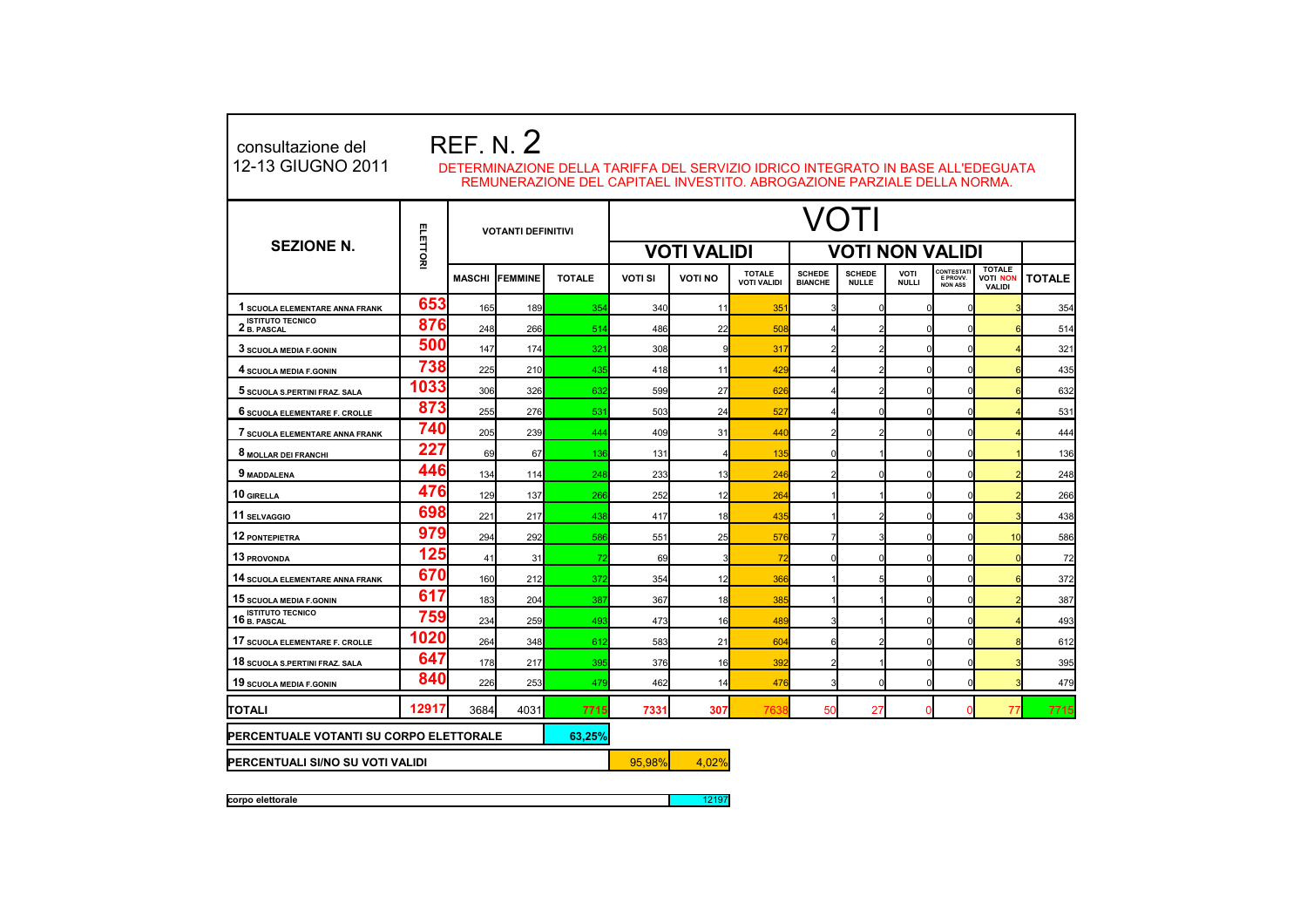| <b>REF. N. 2</b><br>consultazione del<br>12-13 GIUGNO 2011<br>DETERMINAZIONE DELLA TARIFFA DEL SERVIZIO IDRICO INTEGRATO IN BASE ALL'EDEGUATA<br>REMUNERAZIONE DEL CAPITAEL INVESTITO. ABROGAZIONE PARZIALE DELLA NORMA. |          |               |                           |               |                    |                        |                                     |                                 |                               |                             |                                                 |                                                   |               |  |
|--------------------------------------------------------------------------------------------------------------------------------------------------------------------------------------------------------------------------|----------|---------------|---------------------------|---------------|--------------------|------------------------|-------------------------------------|---------------------------------|-------------------------------|-----------------------------|-------------------------------------------------|---------------------------------------------------|---------------|--|
|                                                                                                                                                                                                                          | ELETTORI |               | <b>VOTANTI DEFINITIVI</b> |               | VOTI               |                        |                                     |                                 |                               |                             |                                                 |                                                   |               |  |
| <b>SEZIONE N.</b>                                                                                                                                                                                                        |          |               |                           |               | <b>VOTI VALIDI</b> | <b>VOTI NON VALIDI</b> |                                     |                                 |                               |                             |                                                 |                                                   |               |  |
|                                                                                                                                                                                                                          |          | <b>MASCHI</b> | <b>FEMMINE</b>            | <b>TOTALE</b> | <b>VOTI SI</b>     | <b>VOTI NO</b>         | <b>TOTALE</b><br><b>VOTI VALIDI</b> | <b>SCHEDE</b><br><b>BIANCHE</b> | <b>SCHEDE</b><br><b>NULLE</b> | <b>VOTI</b><br><b>NULLI</b> | CONTESTATI<br><b>E PROVV.</b><br><b>NON ASS</b> | <b>TOTALE</b><br><b>VOTI NON</b><br><b>VALIDI</b> | <b>TOTALE</b> |  |
| 1 SCUOLA ELEMENTARE ANNA FRANK                                                                                                                                                                                           | 653      | 165           | 189                       | 354           | 340                | 11                     | 351                                 |                                 | $\Omega$                      | $\Omega$                    | $\Omega$                                        |                                                   | 354           |  |
| <b>ISTITUTO TECNICO</b><br>2 B. PASCAL                                                                                                                                                                                   | 876      | 248           | 266                       | 514           | 486                | 22                     | 508                                 |                                 |                               | C                           | $\Omega$                                        |                                                   | 514           |  |
| 3 SCUOLA MEDIA F.GONIN                                                                                                                                                                                                   | 500      | 147           | 174                       | 321           | 308                | 9                      | 317                                 |                                 |                               | ſ                           | n                                               |                                                   | 321           |  |
| 4 SCUOLA MEDIA F.GONIN                                                                                                                                                                                                   | 738      | 225           | 210                       | 435           | 418                | 11                     | 429                                 |                                 |                               | ſ                           | $\Omega$                                        |                                                   | 435           |  |
| 5 SCUOLA S.PERTINI FRAZ. SALA                                                                                                                                                                                            | 1033     | 306           | 326                       | 632           | 599                | 27                     | 626                                 |                                 |                               |                             | $\sqrt{ }$                                      |                                                   | 632           |  |
| 6 SCUOLA ELEMENTARE F. CROLLE                                                                                                                                                                                            | 873      | 255           | 276                       | 531           | 503                | 24                     | 527                                 |                                 |                               | ſ                           | C                                               |                                                   | 531           |  |
| 7 SCUOLA ELEMENTARE ANNA FRANK                                                                                                                                                                                           | 740      | 205           | 239                       | 444           | 409                | 31                     | 440                                 |                                 |                               | ſ                           | $\Omega$                                        |                                                   | 444           |  |
| 8 MOLLAR DEI FRANCHI                                                                                                                                                                                                     | 227      | 69            | 67                        | 136           | 131                | 4                      | 135                                 |                                 |                               | ſ                           | $\Omega$                                        |                                                   | 136           |  |
| 9 MADDALENA                                                                                                                                                                                                              | 446      | 134           | 114                       | 248           | 233                | 13                     | 246                                 |                                 |                               | ſ                           | $\Omega$                                        |                                                   | 248           |  |
| 10 GIRELLA                                                                                                                                                                                                               | 476      | 129           | 137                       | 266           | 252                | 12                     | 264                                 |                                 |                               | ſ                           |                                                 |                                                   | 266           |  |
| 11 SELVAGGIO                                                                                                                                                                                                             | 698      | 221           | 217                       | 438           | 417                | 18                     | 435                                 |                                 |                               | ſ                           | $\Omega$                                        |                                                   | 438           |  |
| <b>12 PONTEPIETRA</b>                                                                                                                                                                                                    | 979      | 294           | 292                       | 586           | 551                | 25                     | 576                                 |                                 |                               | ſ                           | n                                               | 10                                                | 586           |  |
| 13 PROVONDA                                                                                                                                                                                                              | 125      | 41            | 31                        | 72            | 69                 | 3                      | 72                                  |                                 |                               | ſ                           |                                                 |                                                   | 72            |  |
| 14 SCUOLA ELEMENTARE ANNA FRANK                                                                                                                                                                                          | 670      | 160           | 212                       | 372           | 354                | 12                     | 366                                 |                                 | 5                             | ſ                           |                                                 |                                                   | 372           |  |
| 15 SCUOLA MEDIA F.GONIN                                                                                                                                                                                                  | 617      | 183           | 204                       | 387           | 367                | 18                     | 385                                 |                                 |                               | ſ                           | n                                               |                                                   | 387           |  |
| <b>ISTITUTO TECNICO</b><br>16 B. PASCAL                                                                                                                                                                                  | 759      | 234           | 259                       | 493           | 473                | 16                     | 489                                 |                                 |                               | ſ                           | $\sqrt{ }$                                      |                                                   | 493           |  |
| 17 SCUOLA ELEMENTARE F. CROLLE                                                                                                                                                                                           | 1020     | 264           | 348                       | 612           | 583                | 21                     | 604                                 |                                 |                               | ſ                           | $\Omega$                                        |                                                   | 612           |  |
| 18 SCUOLA S.PERTINI FRAZ. SALA                                                                                                                                                                                           | 647      | 178           | 217                       | 395           | 376                | 16                     | 392                                 |                                 |                               | $\Omega$                    | $\Omega$                                        |                                                   | 395           |  |
| 19 SCUOLA MEDIA F.GONIN                                                                                                                                                                                                  | 840      | 226           | 253                       | 479           | 462                | 14                     | 476                                 |                                 | $\Omega$                      | $\Omega$                    | $\Omega$                                        |                                                   | 479           |  |
| TOTALI                                                                                                                                                                                                                   | 12917    | 3684          | 4031                      | 7715          | 7331               | 307                    | 7638                                | 50                              | 27                            | $\mathsf{C}$                | $\Omega$                                        | 77                                                | 7715          |  |
| PERCENTUALE VOTANTI SU CORPO ELETTORALE<br>63.25%                                                                                                                                                                        |          |               |                           |               |                    |                        |                                     |                                 |                               |                             |                                                 |                                                   |               |  |
| PERCENTUALI SI/NO SU VOTI VALIDI                                                                                                                                                                                         |          |               |                           |               | 95.98%             | 4,02%                  |                                     |                                 |                               |                             |                                                 |                                                   |               |  |

**corpo elettorale** 12197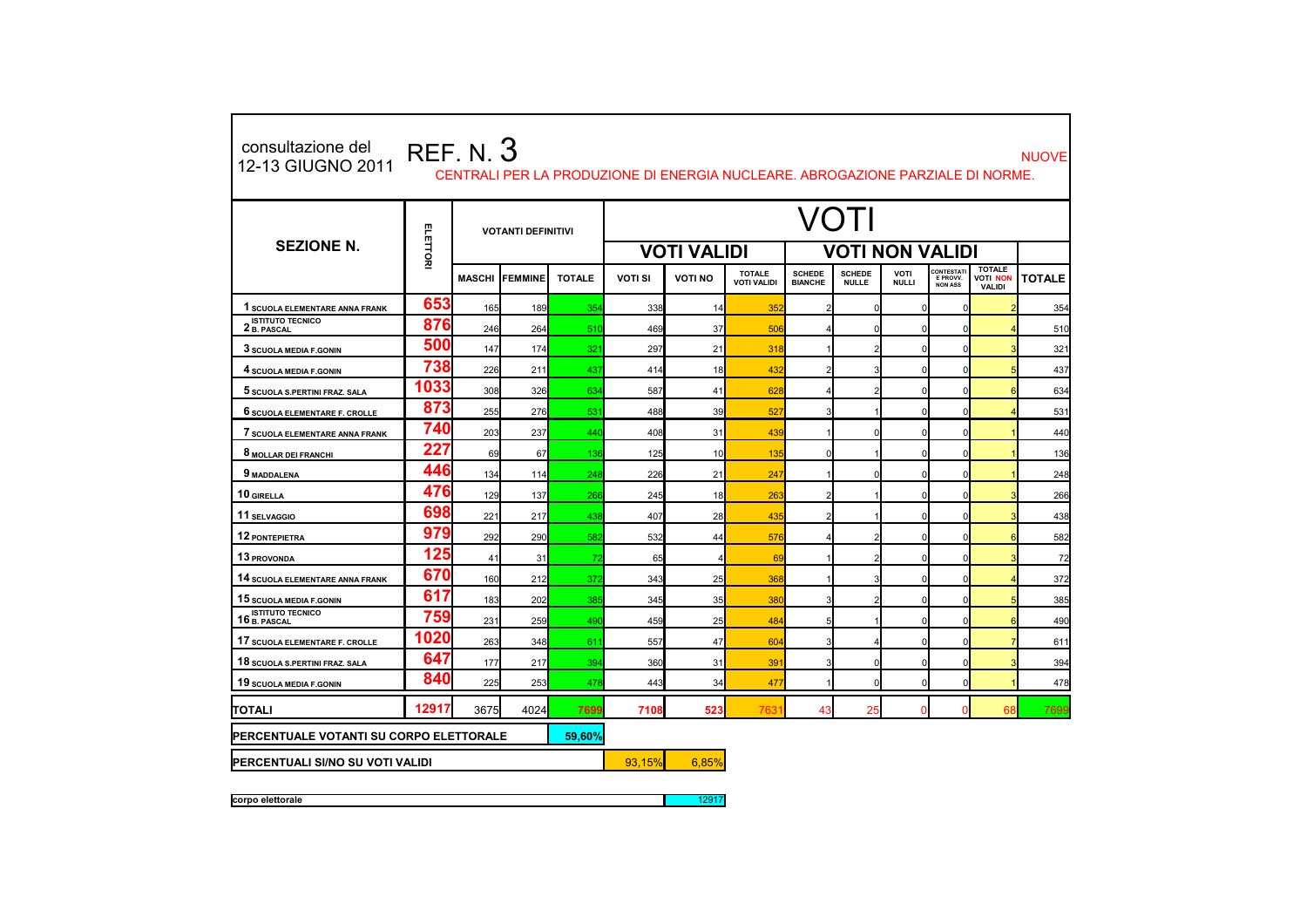| consultazione del<br>12-13 GIUGNO 2011  |          | <b>REF. N. 3</b> |                           |               |                    | CENTRALI PER LA PRODUZIONE DI ENERGIA NUCLEARE, ABROGAZIONE PARZIALE DI NORME. |                                     |                                 |                               |                             |                                  |                                                   | <b>NUOVE</b>  |  |  |
|-----------------------------------------|----------|------------------|---------------------------|---------------|--------------------|--------------------------------------------------------------------------------|-------------------------------------|---------------------------------|-------------------------------|-----------------------------|----------------------------------|---------------------------------------------------|---------------|--|--|
| <b>SEZIONE N.</b>                       |          |                  | <b>VOTANTI DEFINITIVI</b> |               | /OTI               |                                                                                |                                     |                                 |                               |                             |                                  |                                                   |               |  |  |
|                                         | ELETTORI |                  |                           |               | <b>VOTI VALIDI</b> | <b>VOTI NON VALIDI</b>                                                         |                                     |                                 |                               |                             |                                  |                                                   |               |  |  |
|                                         |          | <b>MASCHI</b>    | <b>IFEMMINE</b>           | <b>TOTALE</b> | <b>VOTI SI</b>     | <b>VOTI NO</b>                                                                 | <b>TOTALE</b><br><b>VOTI VALIDI</b> | <b>SCHEDE</b><br><b>BIANCHE</b> | <b>SCHEDE</b><br><b>NULLE</b> | <b>VOTI</b><br><b>NULLI</b> | CONTESTAT<br>E PROVV.<br>NON ASS | <b>TOTALE</b><br><b>VOTI NON</b><br><b>VALIDI</b> | <b>TOTALE</b> |  |  |
| 1 SCUOLA ELEMENTARE ANNA FRANK          | 653      | 165              | 189                       | 354           | 338                | 14                                                                             | 352                                 |                                 |                               | ŋ                           |                                  |                                                   | 354           |  |  |
| 2 ISTITUTO TECNICO                      | 876      | 246              | 264                       | 510           | 469                | 37                                                                             | 506                                 |                                 |                               | ŋ                           |                                  |                                                   | 510           |  |  |
| 3 SCUOLA MEDIA F.GONIN                  | 500      | 147              | 174                       | 321           | 297                | 21                                                                             | 318                                 |                                 |                               |                             |                                  |                                                   | 321           |  |  |
| 4 SCUOLA MEDIA F.GONIN                  | 738      | 226              | 211                       | 437           | 414                | 18                                                                             | 432                                 | 2                               |                               | n                           | $\Omega$                         |                                                   | 437           |  |  |
| 5 SCUOLA S.PERTINI FRAZ. SALA           | 1033     | 308              | 326                       | 634           | 587                | 41                                                                             | 628                                 | $\overline{4}$                  |                               | ŋ                           |                                  |                                                   | 634           |  |  |
| 6 SCUOLA ELEMENTARE F. CROLLE           | 873      | 255              | 276                       | 531           | 488                | 39                                                                             | 52                                  |                                 |                               |                             |                                  |                                                   | 531           |  |  |
| 7 SCUOLA ELEMENTARE ANNA FRANK          | 740      | 203              | 237                       | 440           | 408                | 31                                                                             | 439                                 |                                 |                               | O                           |                                  |                                                   | 440           |  |  |
| 8 MOLLAR DEI FRANCHI                    | 227      | 69               | 67                        | 136           | 125                | 10                                                                             | 135                                 | $\Omega$                        |                               | O                           | $\Omega$                         |                                                   | 136           |  |  |
| 9 MADDALENA                             | 446      | 134              | 114                       | 248           | 226                | 21                                                                             | 247                                 |                                 |                               |                             |                                  |                                                   | 248           |  |  |
| 10 GIRELLA                              | 476      | 129              | 137                       | 266           | 245                | 18                                                                             | 263                                 | $\overline{2}$                  |                               | O                           | O                                |                                                   | 266           |  |  |
| 11 SELVAGGIO                            | 698      | 221              | 217                       | 438           | 407                | 28                                                                             | 435                                 |                                 |                               | n                           | O                                |                                                   | 438           |  |  |
| 12 PONTEPIETRA                          | 979      | 292              | 290                       | 582           | 532                | 44                                                                             | 576                                 |                                 |                               | n                           |                                  |                                                   | 582           |  |  |
| 13 PROVONDA                             | 125      | 41               | 31                        | 72            | 65                 |                                                                                | 69                                  |                                 |                               | ŋ                           | $\Omega$                         |                                                   | 72            |  |  |
| 14 SCUOLA ELEMENTARE ANNA FRANK         | 670      | 160              | 212                       | 372           | 343                | 25                                                                             | 368                                 |                                 |                               |                             |                                  |                                                   | 372           |  |  |
| 15 SCUOLA MEDIA F.GONIN                 | 617      | 183              | 202                       | 385           | 345                | 35                                                                             | 380                                 | 3                               |                               | n                           |                                  |                                                   | 385           |  |  |
| <b>ISTITUTO TECNICO</b><br>16 B. PASCAL | 759      | 231              | 259                       | 490           | 459                | 25                                                                             | 484                                 |                                 |                               |                             |                                  |                                                   | 490           |  |  |
| 17 SCUOLA ELEMENTARE F. CROLLE          | 1020     | 263              | 348                       | 611           | 557                | 47                                                                             | 604                                 |                                 |                               |                             |                                  |                                                   | 611           |  |  |
| 18 SCUOLA S.PERTINI FRAZ. SALA          | 647      | 177              | 217                       | 394           | 360                | 31                                                                             | 39 <sup>′</sup>                     | 3                               | n                             | O                           | $\Omega$                         |                                                   | 394           |  |  |
| 19 SCUOLA MEDIA F.GONIN                 | 840      | 225              | 253                       | 478           | 443                | 34                                                                             | 477                                 | 1                               | $\Omega$                      | <sub>0</sub>                | $\overline{0}$                   |                                                   | 478           |  |  |
| ITOTALI                                 | 12917    | 3675             | 4024                      | 7699          | 7108               | 523                                                                            | 763                                 | 43                              | 25                            | $\Omega$                    | ∩                                | 68                                                | 7699          |  |  |
| PERCENTUALE VOTANTI SU CORPO ELETTORALE | 59,60%   |                  |                           |               |                    |                                                                                |                                     |                                 |                               |                             |                                  |                                                   |               |  |  |
| PERCENTUALI SI/NO SU VOTI VALIDI        | 93.15%   | 6,85%            |                           |               |                    |                                                                                |                                     |                                 |                               |                             |                                  |                                                   |               |  |  |

**corpo elettorale** 12917